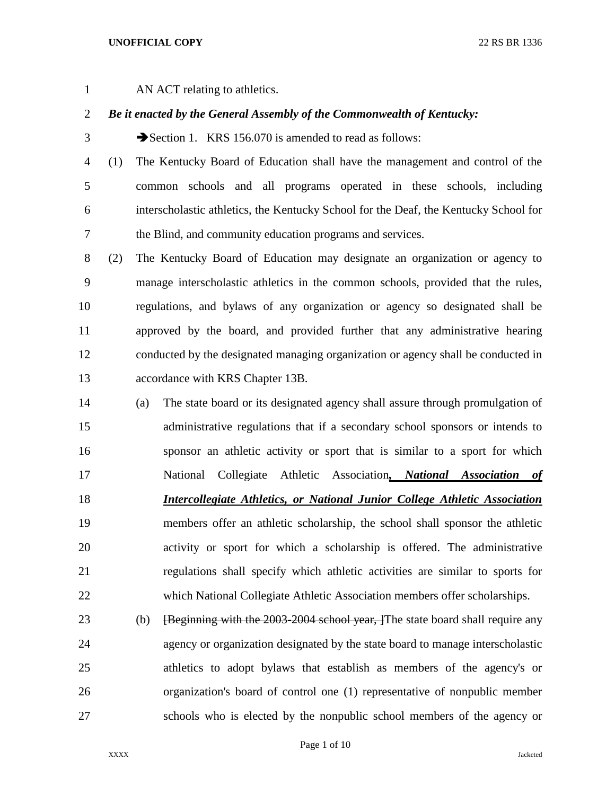## **UNOFFICIAL COPY** 22 RS BR 1336

1 AN ACT relating to athletics.

## *Be it enacted by the General Assembly of the Commonwealth of Kentucky:*

3 Section 1. KRS 156.070 is amended to read as follows:

 (1) The Kentucky Board of Education shall have the management and control of the common schools and all programs operated in these schools, including interscholastic athletics, the Kentucky School for the Deaf, the Kentucky School for the Blind, and community education programs and services.

 (2) The Kentucky Board of Education may designate an organization or agency to manage interscholastic athletics in the common schools, provided that the rules, regulations, and bylaws of any organization or agency so designated shall be approved by the board, and provided further that any administrative hearing conducted by the designated managing organization or agency shall be conducted in accordance with KRS Chapter 13B.

- (a) The state board or its designated agency shall assure through promulgation of administrative regulations that if a secondary school sponsors or intends to sponsor an athletic activity or sport that is similar to a sport for which National Collegiate Athletic Association*, National Association of Intercollegiate Athletics, or National Junior College Athletic Association* members offer an athletic scholarship, the school shall sponsor the athletic activity or sport for which a scholarship is offered. The administrative regulations shall specify which athletic activities are similar to sports for which National Collegiate Athletic Association members offer scholarships.
- 23 (b) [Beginning with the 2003-2004 school year, The state board shall require any agency or organization designated by the state board to manage interscholastic athletics to adopt bylaws that establish as members of the agency's or organization's board of control one (1) representative of nonpublic member schools who is elected by the nonpublic school members of the agency or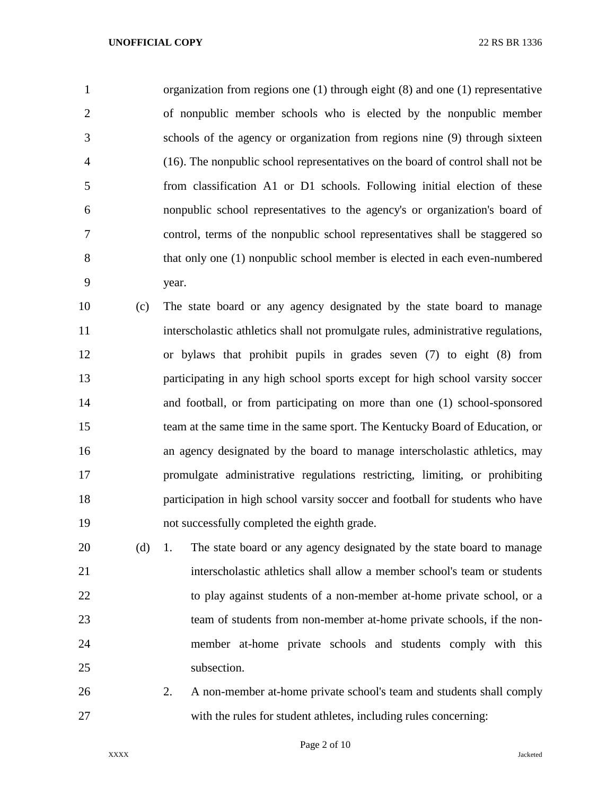organization from regions one (1) through eight (8) and one (1) representative of nonpublic member schools who is elected by the nonpublic member schools of the agency or organization from regions nine (9) through sixteen (16). The nonpublic school representatives on the board of control shall not be from classification A1 or D1 schools. Following initial election of these nonpublic school representatives to the agency's or organization's board of control, terms of the nonpublic school representatives shall be staggered so that only one (1) nonpublic school member is elected in each even-numbered year.

 (c) The state board or any agency designated by the state board to manage interscholastic athletics shall not promulgate rules, administrative regulations, or bylaws that prohibit pupils in grades seven (7) to eight (8) from participating in any high school sports except for high school varsity soccer and football, or from participating on more than one (1) school-sponsored team at the same time in the same sport. The Kentucky Board of Education, or an agency designated by the board to manage interscholastic athletics, may promulgate administrative regulations restricting, limiting, or prohibiting participation in high school varsity soccer and football for students who have not successfully completed the eighth grade.

 (d) 1. The state board or any agency designated by the state board to manage interscholastic athletics shall allow a member school's team or students to play against students of a non-member at-home private school, or a team of students from non-member at-home private schools, if the non- member at-home private schools and students comply with this 25 subsection.

 2. A non-member at-home private school's team and students shall comply with the rules for student athletes, including rules concerning: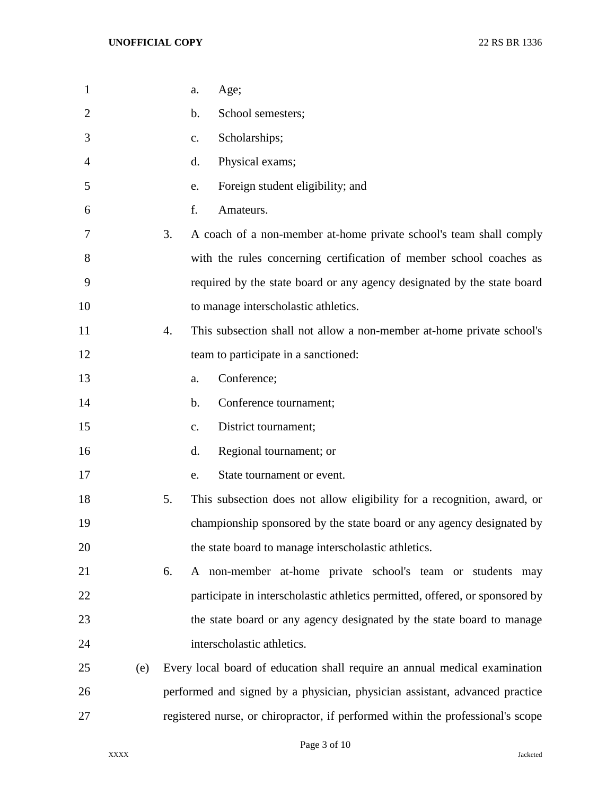| $\mathbf{1}$   |     | Age;<br>a.                                                                      |
|----------------|-----|---------------------------------------------------------------------------------|
| $\overline{2}$ |     | School semesters;<br>b.                                                         |
| 3              |     | Scholarships;<br>$\mathbf{c}$ .                                                 |
| 4              |     | Physical exams;<br>d.                                                           |
| 5              |     | Foreign student eligibility; and<br>e.                                          |
| 6              |     | f.<br>Amateurs.                                                                 |
| 7              |     | 3.<br>A coach of a non-member at-home private school's team shall comply        |
| 8              |     | with the rules concerning certification of member school coaches as             |
| 9              |     | required by the state board or any agency designated by the state board         |
| 10             |     | to manage interscholastic athletics.                                            |
| 11             |     | This subsection shall not allow a non-member at-home private school's<br>4.     |
| 12             |     | team to participate in a sanctioned:                                            |
| 13             |     | Conference;<br>a.                                                               |
| 14             |     | Conference tournament;<br>b.                                                    |
| 15             |     | District tournament;<br>c.                                                      |
| 16             |     | d.<br>Regional tournament; or                                                   |
| 17             |     | State tournament or event.<br>e.                                                |
| 18             |     | 5.<br>This subsection does not allow eligibility for a recognition, award, or   |
| 19             |     | championship sponsored by the state board or any agency designated by           |
| 20             |     | the state board to manage interscholastic athletics.                            |
| 21             |     | A non-member at-home private school's team or students may<br>6.                |
| 22             |     | participate in interscholastic athletics permitted, offered, or sponsored by    |
| 23             |     | the state board or any agency designated by the state board to manage           |
| 24             |     | interscholastic athletics.                                                      |
| 25             | (e) | Every local board of education shall require an annual medical examination      |
| 26             |     | performed and signed by a physician, physician assistant, advanced practice     |
| 27             |     | registered nurse, or chiropractor, if performed within the professional's scope |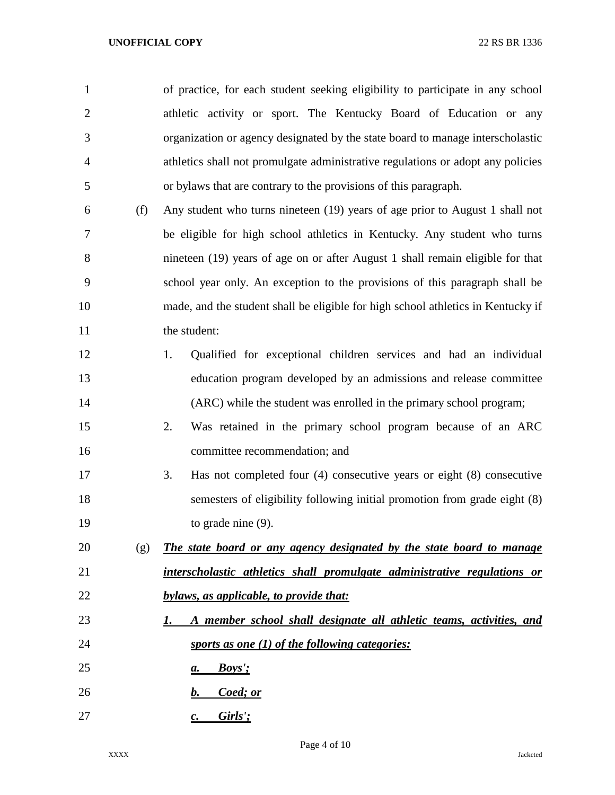of practice, for each student seeking eligibility to participate in any school athletic activity or sport. The Kentucky Board of Education or any organization or agency designated by the state board to manage interscholastic athletics shall not promulgate administrative regulations or adopt any policies or bylaws that are contrary to the provisions of this paragraph. (f) Any student who turns nineteen (19) years of age prior to August 1 shall not be eligible for high school athletics in Kentucky. Any student who turns nineteen (19) years of age on or after August 1 shall remain eligible for that school year only. An exception to the provisions of this paragraph shall be made, and the student shall be eligible for high school athletics in Kentucky if 11 the student: 1. Qualified for exceptional children services and had an individual education program developed by an admissions and release committee (ARC) while the student was enrolled in the primary school program; 2. Was retained in the primary school program because of an ARC committee recommendation; and 3. Has not completed four (4) consecutive years or eight (8) consecutive semesters of eligibility following initial promotion from grade eight (8) 19 to grade nine (9). (g) *The state board or any agency designated by the state board to manage interscholastic athletics shall promulgate administrative regulations or bylaws, as applicable, to provide that: 1. A member school shall designate all athletic teams, activities, and sports as one (1) of the following categories: a. Boys'; b. Coed; or c. Girls';*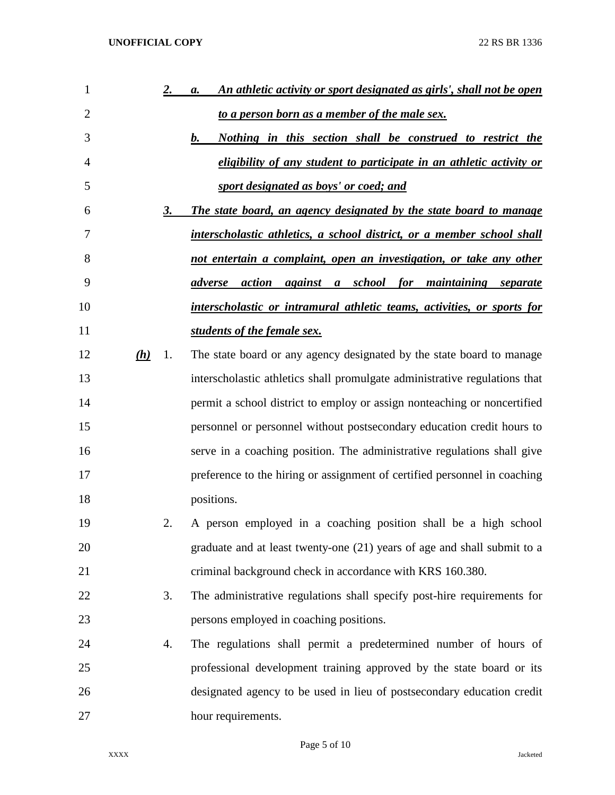| $\mathbf{1}$   |     | <u>2.</u> | An athletic activity or sport designated as girls', shall not be open<br>а.   |
|----------------|-----|-----------|-------------------------------------------------------------------------------|
| $\overline{2}$ |     |           | to a person born as a member of the male sex.                                 |
| 3              |     |           | b.<br>Nothing in this section shall be construed to restrict the              |
| 4              |     |           | eligibility of any student to participate in an athletic activity or          |
| 5              |     |           | sport designated as boys' or coed; and                                        |
| 6              |     | 3.        | The state board, an agency designated by the state board to manage            |
| 7              |     |           | <u>interscholastic athletics, a school district, or a member school shall</u> |
| 8              |     |           | not entertain a complaint, open an investigation, or take any other           |
| 9              |     |           | action<br>a school for maintaining separate<br>adverse<br>against             |
| 10             |     |           | interscholastic or intramural athletic teams, activities, or sports for       |
| 11             |     |           | students of the female sex.                                                   |
| 12             | (h) | 1.        | The state board or any agency designated by the state board to manage         |
| 13             |     |           | interscholastic athletics shall promulgate administrative regulations that    |
| 14             |     |           | permit a school district to employ or assign nonteaching or noncertified      |
| 15             |     |           | personnel or personnel without postsecondary education credit hours to        |
| 16             |     |           | serve in a coaching position. The administrative regulations shall give       |
| 17             |     |           | preference to the hiring or assignment of certified personnel in coaching     |
| 18             |     |           | positions.                                                                    |
| 19             |     | 2.        | A person employed in a coaching position shall be a high school               |
| 20             |     |           | graduate and at least twenty-one (21) years of age and shall submit to a      |
| 21             |     |           | criminal background check in accordance with KRS 160.380.                     |
| 22             |     | 3.        | The administrative regulations shall specify post-hire requirements for       |
| 23             |     |           | persons employed in coaching positions.                                       |
| 24             |     | 4.        | The regulations shall permit a predetermined number of hours of               |
| 25             |     |           | professional development training approved by the state board or its          |
| 26             |     |           | designated agency to be used in lieu of postsecondary education credit        |
| 27             |     |           | hour requirements.                                                            |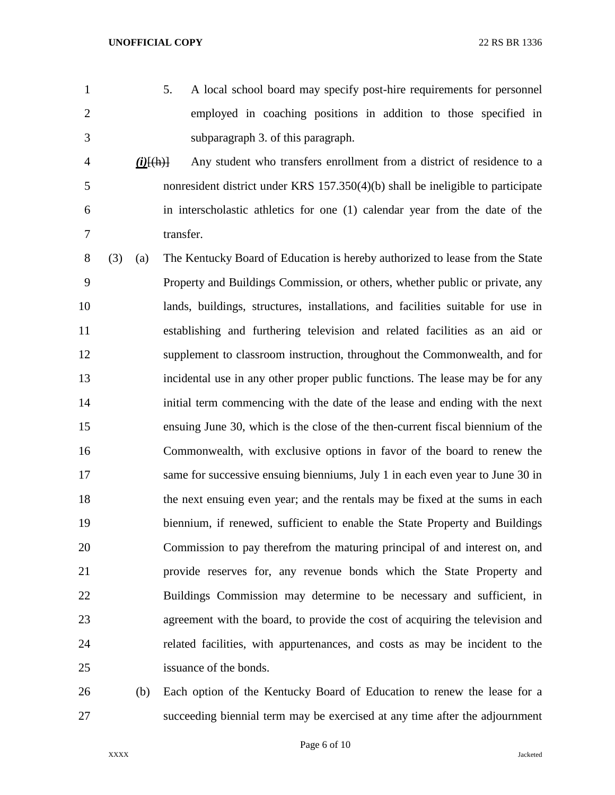- 
- 

 5. A local school board may specify post-hire requirements for personnel employed in coaching positions in addition to those specified in subparagraph 3. of this paragraph.

 *(i)*[(h)] Any student who transfers enrollment from a district of residence to a nonresident district under KRS 157.350(4)(b) shall be ineligible to participate in interscholastic athletics for one (1) calendar year from the date of the transfer.

 (3) (a) The Kentucky Board of Education is hereby authorized to lease from the State Property and Buildings Commission, or others, whether public or private, any lands, buildings, structures, installations, and facilities suitable for use in establishing and furthering television and related facilities as an aid or supplement to classroom instruction, throughout the Commonwealth, and for incidental use in any other proper public functions. The lease may be for any initial term commencing with the date of the lease and ending with the next ensuing June 30, which is the close of the then-current fiscal biennium of the Commonwealth, with exclusive options in favor of the board to renew the same for successive ensuing bienniums, July 1 in each even year to June 30 in the next ensuing even year; and the rentals may be fixed at the sums in each biennium, if renewed, sufficient to enable the State Property and Buildings Commission to pay therefrom the maturing principal of and interest on, and provide reserves for, any revenue bonds which the State Property and Buildings Commission may determine to be necessary and sufficient, in agreement with the board, to provide the cost of acquiring the television and related facilities, with appurtenances, and costs as may be incident to the issuance of the bonds.

 (b) Each option of the Kentucky Board of Education to renew the lease for a succeeding biennial term may be exercised at any time after the adjournment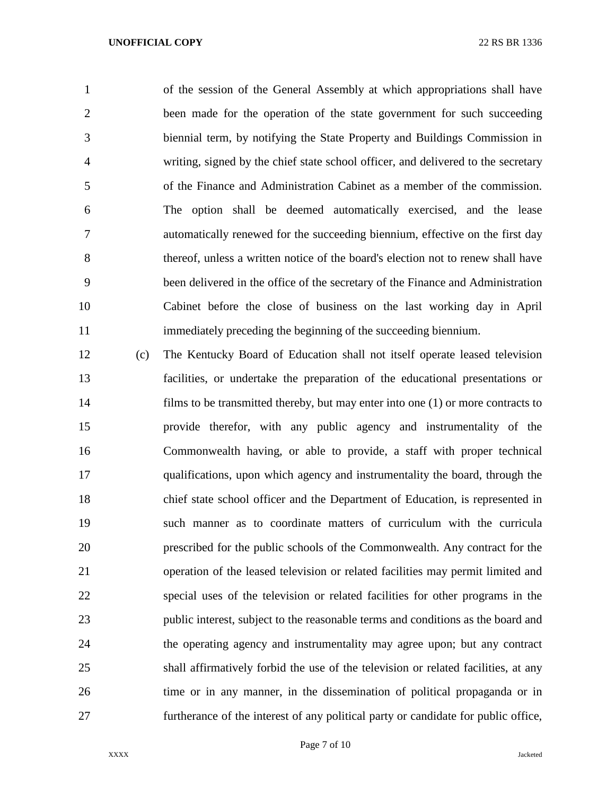of the session of the General Assembly at which appropriations shall have been made for the operation of the state government for such succeeding biennial term, by notifying the State Property and Buildings Commission in writing, signed by the chief state school officer, and delivered to the secretary of the Finance and Administration Cabinet as a member of the commission. The option shall be deemed automatically exercised, and the lease automatically renewed for the succeeding biennium, effective on the first day thereof, unless a written notice of the board's election not to renew shall have been delivered in the office of the secretary of the Finance and Administration Cabinet before the close of business on the last working day in April immediately preceding the beginning of the succeeding biennium.

 (c) The Kentucky Board of Education shall not itself operate leased television facilities, or undertake the preparation of the educational presentations or films to be transmitted thereby, but may enter into one (1) or more contracts to provide therefor, with any public agency and instrumentality of the Commonwealth having, or able to provide, a staff with proper technical qualifications, upon which agency and instrumentality the board, through the chief state school officer and the Department of Education, is represented in such manner as to coordinate matters of curriculum with the curricula prescribed for the public schools of the Commonwealth. Any contract for the operation of the leased television or related facilities may permit limited and special uses of the television or related facilities for other programs in the public interest, subject to the reasonable terms and conditions as the board and the operating agency and instrumentality may agree upon; but any contract shall affirmatively forbid the use of the television or related facilities, at any time or in any manner, in the dissemination of political propaganda or in furtherance of the interest of any political party or candidate for public office,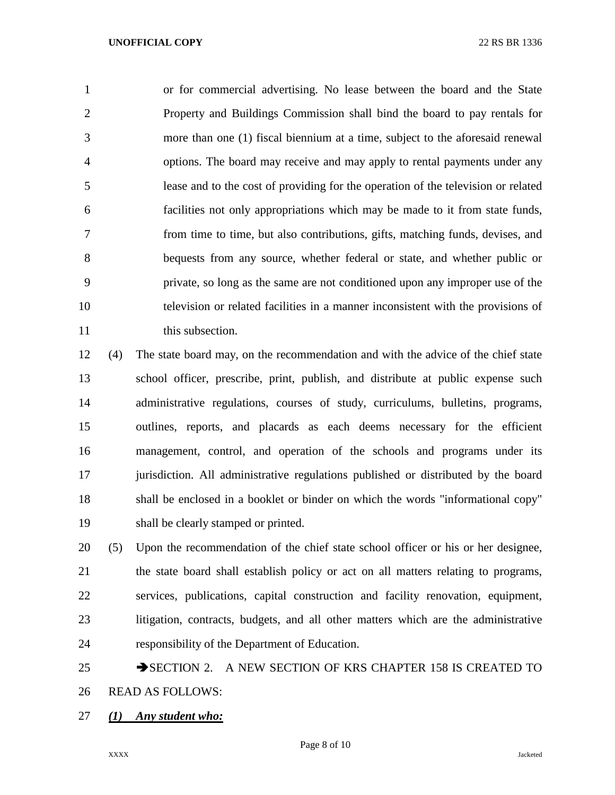or for commercial advertising. No lease between the board and the State Property and Buildings Commission shall bind the board to pay rentals for more than one (1) fiscal biennium at a time, subject to the aforesaid renewal options. The board may receive and may apply to rental payments under any lease and to the cost of providing for the operation of the television or related facilities not only appropriations which may be made to it from state funds, from time to time, but also contributions, gifts, matching funds, devises, and bequests from any source, whether federal or state, and whether public or private, so long as the same are not conditioned upon any improper use of the television or related facilities in a manner inconsistent with the provisions of 11 this subsection.

 (4) The state board may, on the recommendation and with the advice of the chief state school officer, prescribe, print, publish, and distribute at public expense such administrative regulations, courses of study, curriculums, bulletins, programs, outlines, reports, and placards as each deems necessary for the efficient management, control, and operation of the schools and programs under its jurisdiction. All administrative regulations published or distributed by the board shall be enclosed in a booklet or binder on which the words "informational copy" shall be clearly stamped or printed.

 (5) Upon the recommendation of the chief state school officer or his or her designee, the state board shall establish policy or act on all matters relating to programs, services, publications, capital construction and facility renovation, equipment, litigation, contracts, budgets, and all other matters which are the administrative responsibility of the Department of Education.

25 SECTION 2. A NEW SECTION OF KRS CHAPTER 158 IS CREATED TO READ AS FOLLOWS:

*(1) Any student who:*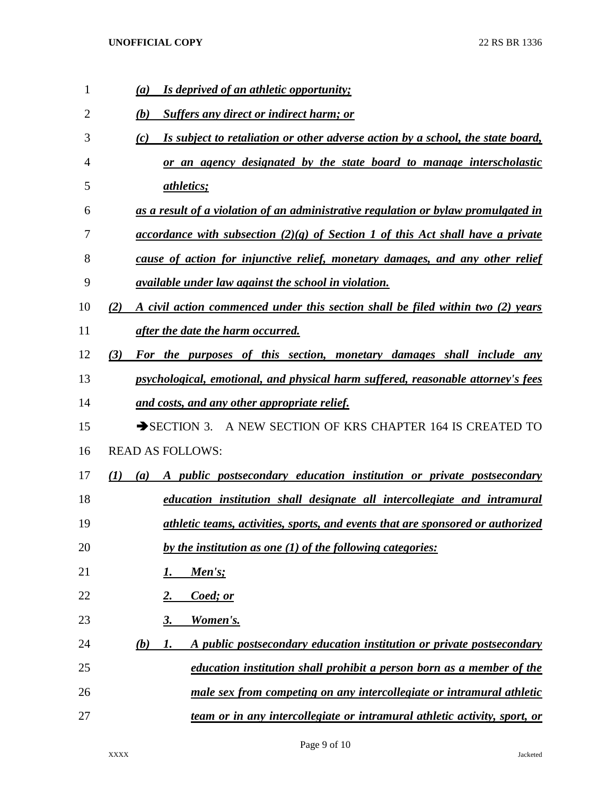| 1  | <i>Is deprived of an athletic opportunity;</i><br>(a)                                  |
|----|----------------------------------------------------------------------------------------|
| 2  | <b>Suffers any direct or indirect harm; or</b><br>(b)                                  |
| 3  | Is subject to retaliation or other adverse action by a school, the state board,<br>(c) |
| 4  | or an agency designated by the state board to manage interscholastic                   |
| 5  | <i>athletics;</i>                                                                      |
| 6  | as a result of a violation of an administrative regulation or bylaw promulgated in     |
| 7  | <u>accordance with subsection (2)(g) of Section 1 of this Act shall have a private</u> |
| 8  | cause of action for injunctive relief, monetary damages, and any other relief          |
| 9  | <i><u>available under law against the school in violation.</u></i>                     |
| 10 | A civil action commenced under this section shall be filed within two (2) years<br>(2) |
| 11 | after the date the harm occurred.                                                      |
| 12 | (3)<br>For the purposes of this section, monetary damages shall include any            |
| 13 | psychological, emotional, and physical harm suffered, reasonable attorney's fees       |
| 14 | and costs, and any other appropriate relief.                                           |
| 15 | SECTION 3. A NEW SECTION OF KRS CHAPTER 164 IS CREATED TO                              |
| 16 | <b>READ AS FOLLOWS:</b>                                                                |
| 17 | A public postsecondary education institution or private postsecondary<br>(1)<br>(a)    |
| 18 | education institution shall designate all intercollegiate and intramural               |
| 19 | athletic teams, activities, sports, and events that are sponsored or authorized        |
| 20 | by the institution as one (1) of the following categories:                             |
| 21 | <u>Men's;</u><br>I.                                                                    |
| 22 | Coed; or<br>2.                                                                         |
| 23 | <b>Women's.</b><br>3.                                                                  |
| 24 | A public postsecondary education institution or private postsecondary<br>(b)<br>1.     |
| 25 | education institution shall prohibit a person born as a member of the                  |
| 26 | male sex from competing on any intercollegiate or intramural athletic                  |
| 27 | team or in any intercollegiate or intramural athletic activity, sport, or              |